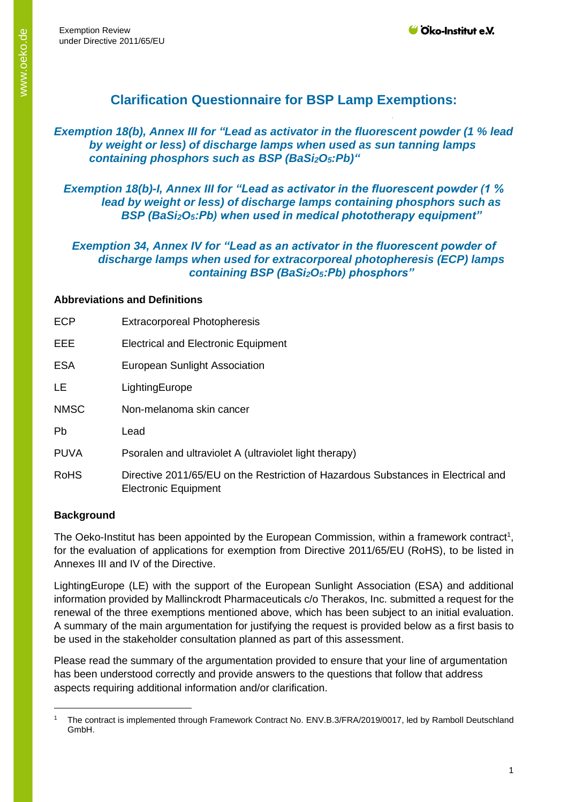Exemption Review under Directive 2011/65/EU

# **Clarification Questionnaire for BSP Lamp Exemptions:**

### *Exemption 18(b), Annex III for "Lead as activator in the fluorescent powder (1 % lead by weight or less) of discharge lamps when used as sun tanning lamps containing phosphors such as BSP (BaSi2O5:Pb)"*

*Exemption 18(b)-I, Annex III for "Lead as activator in the fluorescent powder (1 % lead by weight or less) of discharge lamps containing phosphors such as BSP (BaSi2O5:Pb) when used in medical phototherapy equipment"*

*Exemption 34, Annex IV for "Lead as an activator in the fluorescent powder of discharge lamps when used for extracorporeal photopheresis (ECP) lamps containing BSP (BaSi2O5:Pb) phosphors"*

#### **Abbreviations and Definitions**

| <b>ECP</b>  | <b>Extracorporeal Photopheresis</b>                                                                       |
|-------------|-----------------------------------------------------------------------------------------------------------|
| EEE         | <b>Electrical and Electronic Equipment</b>                                                                |
| <b>ESA</b>  | <b>European Sunlight Association</b>                                                                      |
| <b>LE</b>   | LightingEurope                                                                                            |
| <b>NMSC</b> | Non-melanoma skin cancer                                                                                  |
| <b>Pb</b>   | Lead                                                                                                      |
| <b>PUVA</b> | Psoralen and ultraviolet A (ultraviolet light therapy)                                                    |
| <b>RoHS</b> | Directive 2011/65/EU on the Restriction of Hazardous Substances in Electrical and<br>Electronic Equipment |

#### **Background**

The Oeko-Institut has been appointed by the European Commission, within a framework contract<sup>1</sup>, for the evaluation of applications for exemption from Directive 2011/65/EU (RoHS), to be listed in Annexes III and IV of the Directive.

LightingEurope (LE) with the support of the European Sunlight Association (ESA) and additional information provided by Mallinckrodt Pharmaceuticals c/o Therakos, Inc. submitted a request for the renewal of the three exemptions mentioned above, which has been subject to an initial evaluation. A summary of the main argumentation for justifying the request is provided below as a first basis to be used in the stakeholder consultation planned as part of this assessment.

Please read the summary of the argumentation provided to ensure that your line of argumentation has been understood correctly and provide answers to the questions that follow that address aspects requiring additional information and/or clarification.

<sup>1</sup> The contract is implemented through Framework Contract No. ENV.B.3/FRA/2019/0017, led by Ramboll Deutschland GmbH.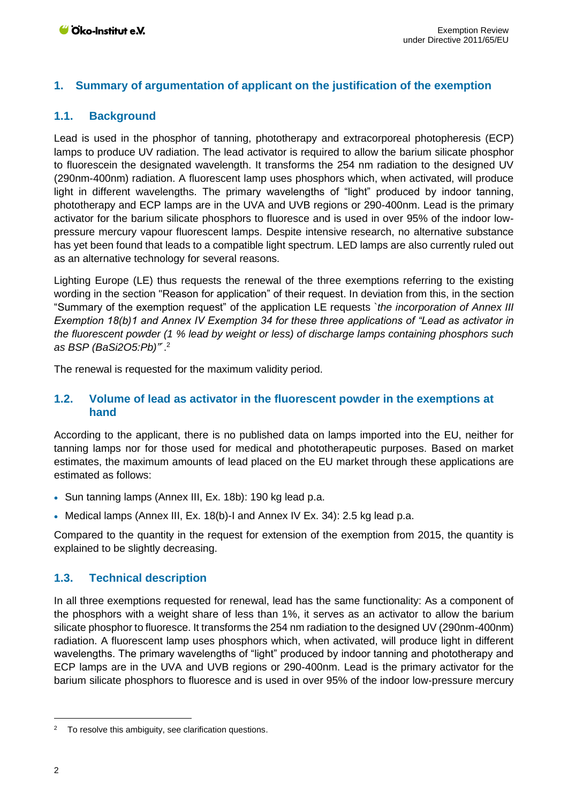# **1. Summary of argumentation of applicant on the justification of the exemption**

# **1.1. Background**

Lead is used in the phosphor of tanning, phototherapy and extracorporeal photopheresis (ECP) lamps to produce UV radiation. The lead activator is required to allow the barium silicate phosphor to fluorescein the designated wavelength. It transforms the 254 nm radiation to the designed UV (290nm-400nm) radiation. A fluorescent lamp uses phosphors which, when activated, will produce light in different wavelengths. The primary wavelengths of "light" produced by indoor tanning, phototherapy and ECP lamps are in the UVA and UVB regions or 290-400nm. Lead is the primary activator for the barium silicate phosphors to fluoresce and is used in over 95% of the indoor lowpressure mercury vapour fluorescent lamps. Despite intensive research, no alternative substance has yet been found that leads to a compatible light spectrum. LED lamps are also currently ruled out as an alternative technology for several reasons.

Lighting Europe (LE) thus requests the renewal of the three exemptions referring to the existing wording in the section "Reason for application" of their request. In deviation from this, in the section "Summary of the exemption request" of the application LE requests `*the incorporation of Annex III Exemption 18(b)1 and Annex IV Exemption 34 for these three applications of "Lead as activator in the fluorescent powder (1 % lead by weight or less) of discharge lamps containing phosphors such as BSP (BaSi2O5:Pb)"*´. 2

The renewal is requested for the maximum validity period.

### **1.2. Volume of lead as activator in the fluorescent powder in the exemptions at hand**

According to the applicant, there is no published data on lamps imported into the EU, neither for tanning lamps nor for those used for medical and phototherapeutic purposes. Based on market estimates, the maximum amounts of lead placed on the EU market through these applications are estimated as follows:

- Sun tanning lamps (Annex III, Ex. 18b): 190 kg lead p.a.
- Medical lamps (Annex III, Ex. 18(b)-I and Annex IV Ex. 34): 2.5 kg lead p.a.

Compared to the quantity in the request for extension of the exemption from 2015, the quantity is explained to be slightly decreasing.

# **1.3. Technical description**

In all three exemptions requested for renewal, lead has the same functionality: As a component of the phosphors with a weight share of less than 1%, it serves as an activator to allow the barium silicate phosphor to fluoresce. It transforms the 254 nm radiation to the designed UV (290nm-400nm) radiation. A fluorescent lamp uses phosphors which, when activated, will produce light in different wavelengths. The primary wavelengths of "light" produced by indoor tanning and phototherapy and ECP lamps are in the UVA and UVB regions or 290-400nm. Lead is the primary activator for the barium silicate phosphors to fluoresce and is used in over 95% of the indoor low-pressure mercury

<sup>&</sup>lt;sup>2</sup> To resolve this ambiguity, see clarification questions.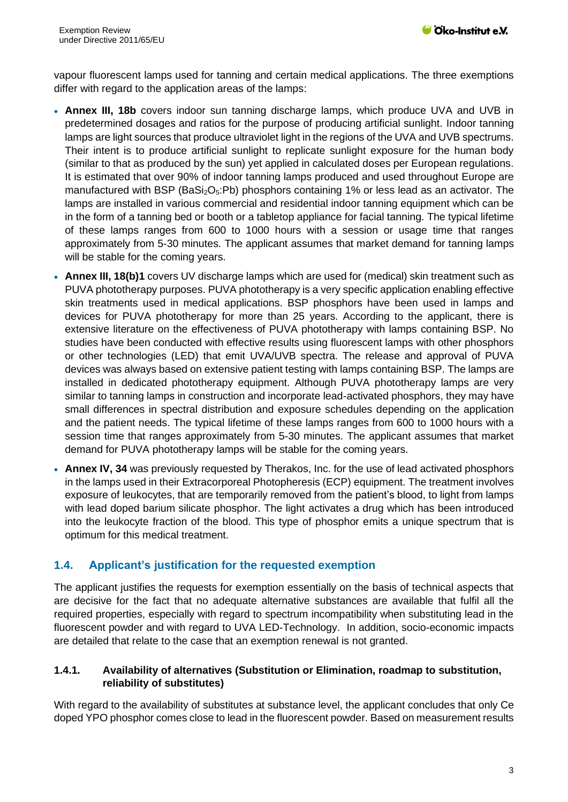vapour fluorescent lamps used for tanning and certain medical applications. The three exemptions differ with regard to the application areas of the lamps:

- **Annex III, 18b** covers indoor sun tanning discharge lamps, which produce UVA and UVB in predetermined dosages and ratios for the purpose of producing artificial sunlight. Indoor tanning lamps are light sources that produce ultraviolet light in the regions of the UVA and UVB spectrums. Their intent is to produce artificial sunlight to replicate sunlight exposure for the human body (similar to that as produced by the sun) yet applied in calculated doses per European regulations. It is estimated that over 90% of indoor tanning lamps produced and used throughout Europe are manufactured with BSP (BaSi<sub>2</sub>O<sub>5</sub>:Pb) phosphors containing 1% or less lead as an activator. The lamps are installed in various commercial and residential indoor tanning equipment which can be in the form of a tanning bed or booth or a tabletop appliance for facial tanning. The typical lifetime of these lamps ranges from 600 to 1000 hours with a session or usage time that ranges approximately from 5-30 minutes. The applicant assumes that market demand for tanning lamps will be stable for the coming years.
- **Annex III, 18(b)1** covers UV discharge lamps which are used for (medical) skin treatment such as PUVA phototherapy purposes. PUVA phototherapy is a very specific application enabling effective skin treatments used in medical applications. BSP phosphors have been used in lamps and devices for PUVA phototherapy for more than 25 years. According to the applicant, there is extensive literature on the effectiveness of PUVA phototherapy with lamps containing BSP. No studies have been conducted with effective results using fluorescent lamps with other phosphors or other technologies (LED) that emit UVA/UVB spectra. The release and approval of PUVA devices was always based on extensive patient testing with lamps containing BSP. The lamps are installed in dedicated phototherapy equipment. Although PUVA phototherapy lamps are very similar to tanning lamps in construction and incorporate lead-activated phosphors, they may have small differences in spectral distribution and exposure schedules depending on the application and the patient needs. The typical lifetime of these lamps ranges from 600 to 1000 hours with a session time that ranges approximately from 5-30 minutes. The applicant assumes that market demand for PUVA phototherapy lamps will be stable for the coming years.
- **Annex IV, 34** was previously requested by Therakos, Inc. for the use of lead activated phosphors in the lamps used in their Extracorporeal Photopheresis (ECP) equipment. The treatment involves exposure of leukocytes, that are temporarily removed from the patient's blood, to light from lamps with lead doped barium silicate phosphor. The light activates a drug which has been introduced into the leukocyte fraction of the blood. This type of phosphor emits a unique spectrum that is optimum for this medical treatment.

# **1.4. Applicant's justification for the requested exemption**

The applicant justifies the requests for exemption essentially on the basis of technical aspects that are decisive for the fact that no adequate alternative substances are available that fulfil all the required properties, especially with regard to spectrum incompatibility when substituting lead in the fluorescent powder and with regard to UVA LED-Technology. In addition, socio-economic impacts are detailed that relate to the case that an exemption renewal is not granted.

#### **1.4.1. Availability of alternatives (Substitution or Elimination, roadmap to substitution, reliability of substitutes)**

With regard to the availability of substitutes at substance level, the applicant concludes that only Ce doped YPO phosphor comes close to lead in the fluorescent powder. Based on measurement results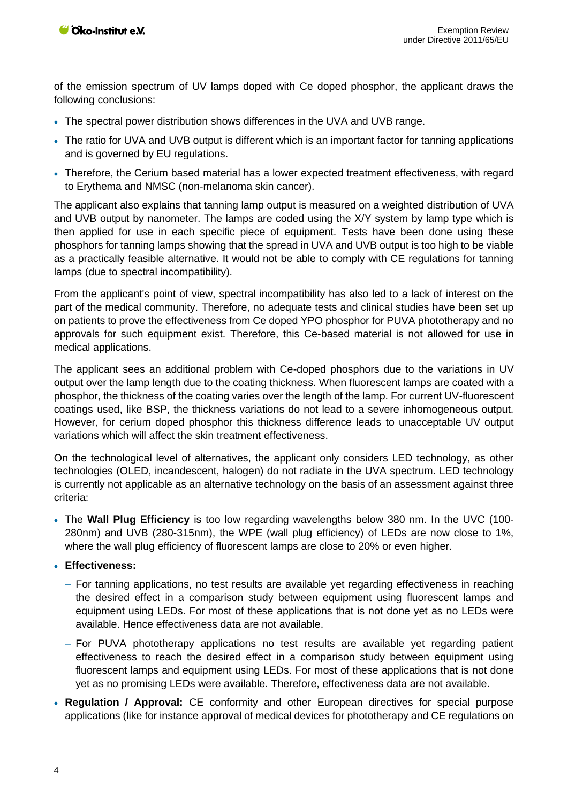of the emission spectrum of UV lamps doped with Ce doped phosphor, the applicant draws the following conclusions:

- The spectral power distribution shows differences in the UVA and UVB range.
- The ratio for UVA and UVB output is different which is an important factor for tanning applications and is governed by EU regulations.
- Therefore, the Cerium based material has a lower expected treatment effectiveness, with regard to Erythema and NMSC (non-melanoma skin cancer).

The applicant also explains that tanning lamp output is measured on a weighted distribution of UVA and UVB output by nanometer. The lamps are coded using the X/Y system by lamp type which is then applied for use in each specific piece of equipment. Tests have been done using these phosphors for tanning lamps showing that the spread in UVA and UVB output is too high to be viable as a practically feasible alternative. It would not be able to comply with CE regulations for tanning lamps (due to spectral incompatibility).

From the applicant's point of view, spectral incompatibility has also led to a lack of interest on the part of the medical community. Therefore, no adequate tests and clinical studies have been set up on patients to prove the effectiveness from Ce doped YPO phosphor for PUVA phototherapy and no approvals for such equipment exist. Therefore, this Ce-based material is not allowed for use in medical applications.

The applicant sees an additional problem with Ce-doped phosphors due to the variations in UV output over the lamp length due to the coating thickness. When fluorescent lamps are coated with a phosphor, the thickness of the coating varies over the length of the lamp. For current UV-fluorescent coatings used, like BSP, the thickness variations do not lead to a severe inhomogeneous output. However, for cerium doped phosphor this thickness difference leads to unacceptable UV output variations which will affect the skin treatment effectiveness.

On the technological level of alternatives, the applicant only considers LED technology, as other technologies (OLED, incandescent, halogen) do not radiate in the UVA spectrum. LED technology is currently not applicable as an alternative technology on the basis of an assessment against three criteria:

- The **Wall Plug Efficiency** is too low regarding wavelengths below 380 nm. In the UVC (100- 280nm) and UVB (280-315nm), the WPE (wall plug efficiency) of LEDs are now close to 1%, where the wall plug efficiency of fluorescent lamps are close to 20% or even higher.
- **Effectiveness:**
	- ‒ For tanning applications, no test results are available yet regarding effectiveness in reaching the desired effect in a comparison study between equipment using fluorescent lamps and equipment using LEDs. For most of these applications that is not done yet as no LEDs were available. Hence effectiveness data are not available.
	- ‒ For PUVA phototherapy applications no test results are available yet regarding patient effectiveness to reach the desired effect in a comparison study between equipment using fluorescent lamps and equipment using LEDs. For most of these applications that is not done yet as no promising LEDs were available. Therefore, effectiveness data are not available.
- **Regulation / Approval:** CE conformity and other European directives for special purpose applications (like for instance approval of medical devices for phototherapy and CE regulations on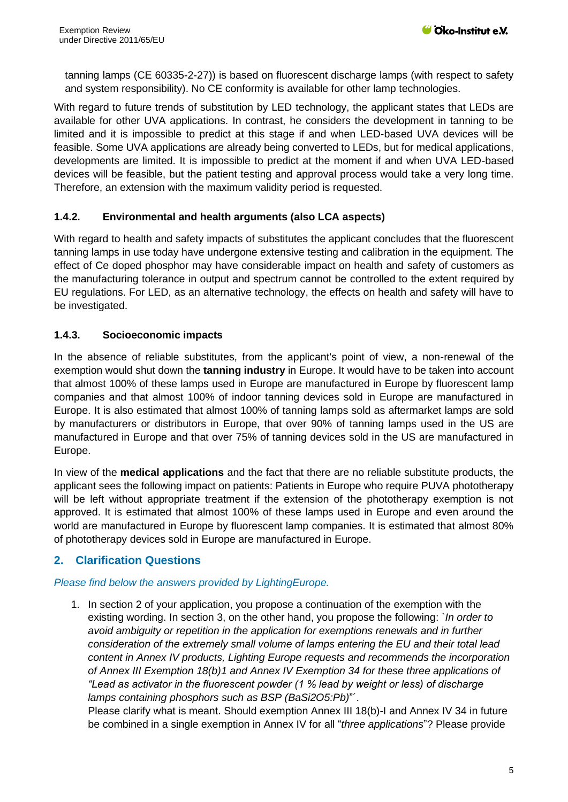tanning lamps (CE 60335-2-27)) is based on fluorescent discharge lamps (with respect to safety and system responsibility). No CE conformity is available for other lamp technologies.

With regard to future trends of substitution by LED technology, the applicant states that LEDs are available for other UVA applications. In contrast, he considers the development in tanning to be limited and it is impossible to predict at this stage if and when LED-based UVA devices will be feasible. Some UVA applications are already being converted to LEDs, but for medical applications, developments are limited. It is impossible to predict at the moment if and when UVA LED-based devices will be feasible, but the patient testing and approval process would take a very long time. Therefore, an extension with the maximum validity period is requested.

### **1.4.2. Environmental and health arguments (also LCA aspects)**

With regard to health and safety impacts of substitutes the applicant concludes that the fluorescent tanning lamps in use today have undergone extensive testing and calibration in the equipment. The effect of Ce doped phosphor may have considerable impact on health and safety of customers as the manufacturing tolerance in output and spectrum cannot be controlled to the extent required by EU regulations. For LED, as an alternative technology, the effects on health and safety will have to be investigated.

### **1.4.3. Socioeconomic impacts**

In the absence of reliable substitutes, from the applicant's point of view, a non-renewal of the exemption would shut down the **tanning industry** in Europe. It would have to be taken into account that almost 100% of these lamps used in Europe are manufactured in Europe by fluorescent lamp companies and that almost 100% of indoor tanning devices sold in Europe are manufactured in Europe. It is also estimated that almost 100% of tanning lamps sold as aftermarket lamps are sold by manufacturers or distributors in Europe, that over 90% of tanning lamps used in the US are manufactured in Europe and that over 75% of tanning devices sold in the US are manufactured in Europe.

In view of the **medical applications** and the fact that there are no reliable substitute products, the applicant sees the following impact on patients: Patients in Europe who require PUVA phototherapy will be left without appropriate treatment if the extension of the phototherapy exemption is not approved. It is estimated that almost 100% of these lamps used in Europe and even around the world are manufactured in Europe by fluorescent lamp companies. It is estimated that almost 80% of phototherapy devices sold in Europe are manufactured in Europe.

# **2. Clarification Questions**

### *Please find below the answers provided by LightingEurope.*

1. In section 2 of your application, you propose a continuation of the exemption with the existing wording. In section 3, on the other hand, you propose the following: `*In order to avoid ambiguity or repetition in the application for exemptions renewals and in further consideration of the extremely small volume of lamps entering the EU and their total lead content in Annex IV products, Lighting Europe requests and recommends the incorporation of Annex III Exemption 18(b)1 and Annex IV Exemption 34 for these three applications of "Lead as activator in the fluorescent powder (1 % lead by weight or less) of discharge lamps containing phosphors such as BSP (BaSi2O5:Pb)*"´.

Please clarify what is meant. Should exemption Annex III 18(b)-I and Annex IV 34 in future be combined in a single exemption in Annex IV for all "*three applications*"? Please provide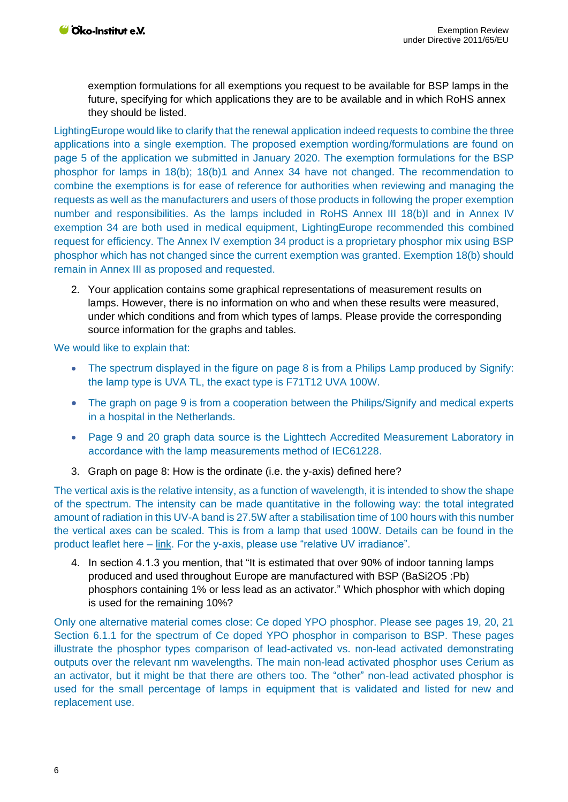exemption formulations for all exemptions you request to be available for BSP lamps in the future, specifying for which applications they are to be available and in which RoHS annex they should be listed.

LightingEurope would like to clarify that the renewal application indeed requests to combine the three applications into a single exemption. The proposed exemption wording/formulations are found on page 5 of the application we submitted in January 2020. The exemption formulations for the BSP phosphor for lamps in 18(b); 18(b)1 and Annex 34 have not changed. The recommendation to combine the exemptions is for ease of reference for authorities when reviewing and managing the requests as well as the manufacturers and users of those products in following the proper exemption number and responsibilities. As the lamps included in RoHS Annex III 18(b)I and in Annex IV exemption 34 are both used in medical equipment, LightingEurope recommended this combined request for efficiency. The Annex IV exemption 34 product is a proprietary phosphor mix using BSP phosphor which has not changed since the current exemption was granted. Exemption 18(b) should remain in Annex III as proposed and requested.

2. Your application contains some graphical representations of measurement results on lamps. However, there is no information on who and when these results were measured, under which conditions and from which types of lamps. Please provide the corresponding source information for the graphs and tables.

We would like to explain that:

- The spectrum displayed in the figure on page 8 is from a Philips Lamp produced by Signify: the lamp type is UVA TL, the exact type is F71T12 UVA 100W.
- The graph on page 9 is from a cooperation between the Philips/Signify and medical experts in a hospital in the Netherlands.
- Page 9 and 20 graph data source is the Lighttech Accredited Measurement Laboratory in accordance with the lamp measurements method of IEC61228.
- 3. Graph on page 8: How is the ordinate (i.e. the y-axis) defined here?

The vertical axis is the relative intensity, as a function of wavelength, it is intended to show the shape of the spectrum. The intensity can be made quantitative in the following way: the total integrated amount of radiation in this UV-A band is 27.5W after a stabilisation time of 100 hours with this number the vertical axes can be scaled. This is from a lamp that used 100W. Details can be found in the product leaflet here – [link.](https://www.lighting.philips.com/api/assets/v1/file/content/fp928004320930-pss-global/928004320930_EU.en_AA.PROF.FP.pdf) For the y-axis, please use "relative UV irradiance".

4. In section 4.1.3 you mention, that "It is estimated that over 90% of indoor tanning lamps produced and used throughout Europe are manufactured with BSP (BaSi2O5 :Pb) phosphors containing 1% or less lead as an activator." Which phosphor with which doping is used for the remaining 10%?

Only one alternative material comes close: Ce doped YPO phosphor. Please see pages 19, 20, 21 Section 6.1.1 for the spectrum of Ce doped YPO phosphor in comparison to BSP. These pages illustrate the phosphor types comparison of lead-activated vs. non-lead activated demonstrating outputs over the relevant nm wavelengths. The main non-lead activated phosphor uses Cerium as an activator, but it might be that there are others too. The "other" non-lead activated phosphor is used for the small percentage of lamps in equipment that is validated and listed for new and replacement use.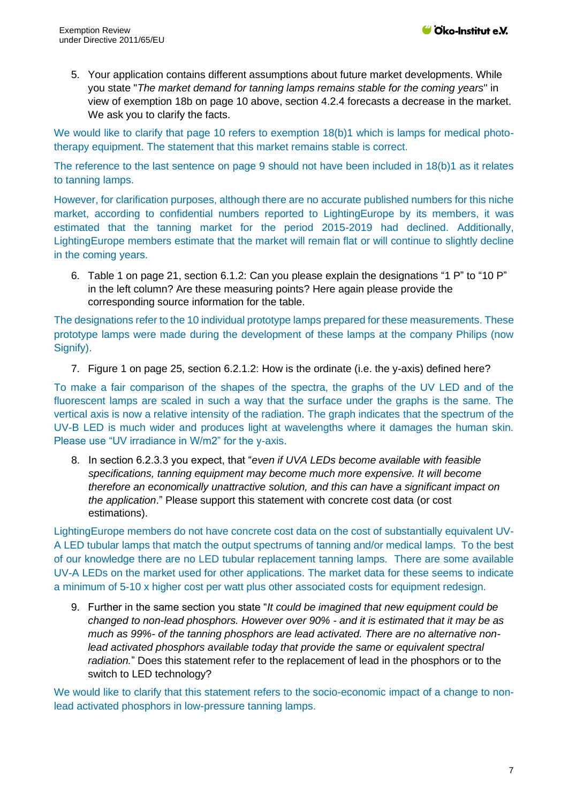5. Your application contains different assumptions about future market developments. While you state "*The market demand for tanning lamps remains stable for the coming years*" in view of exemption 18b on page 10 above, section 4.2.4 forecasts a decrease in the market. We ask you to clarify the facts.

We would like to clarify that page 10 refers to exemption 18(b)1 which is lamps for medical phototherapy equipment. The statement that this market remains stable is correct.

The reference to the last sentence on page 9 should not have been included in 18(b)1 as it relates to tanning lamps.

However, for clarification purposes, although there are no accurate published numbers for this niche market, according to confidential numbers reported to LightingEurope by its members, it was estimated that the tanning market for the period 2015-2019 had declined. Additionally, LightingEurope members estimate that the market will remain flat or will continue to slightly decline in the coming years.

6. Table 1 on page 21, section 6.1.2: Can you please explain the designations "1 P" to "10 P" in the left column? Are these measuring points? Here again please provide the corresponding source information for the table.

The designations refer to the 10 individual prototype lamps prepared for these measurements. These prototype lamps were made during the development of these lamps at the company Philips (now Signify).

7. Figure 1 on page 25, section 6.2.1.2: How is the ordinate (i.e. the y-axis) defined here?

To make a fair comparison of the shapes of the spectra, the graphs of the UV LED and of the fluorescent lamps are scaled in such a way that the surface under the graphs is the same. The vertical axis is now a relative intensity of the radiation. The graph indicates that the spectrum of the UV-B LED is much wider and produces light at wavelengths where it damages the human skin. Please use "UV irradiance in W/m2" for the y-axis.

8. In section 6.2.3.3 you expect, that "*even if UVA LEDs become available with feasible specifications, tanning equipment may become much more expensive. It will become therefore an economically unattractive solution, and this can have a significant impact on the application*." Please support this statement with concrete cost data (or cost estimations).

LightingEurope members do not have concrete cost data on the cost of substantially equivalent UV-A LED tubular lamps that match the output spectrums of tanning and/or medical lamps. To the best of our knowledge there are no LED tubular replacement tanning lamps. There are some available UV-A LEDs on the market used for other applications. The market data for these seems to indicate a minimum of 5-10 x higher cost per watt plus other associated costs for equipment redesign.

9. Further in the same section you state "*It could be imagined that new equipment could be changed to non-lead phosphors. However over 90% - and it is estimated that it may be as much as 99%- of the tanning phosphors are lead activated. There are no alternative nonlead activated phosphors available today that provide the same or equivalent spectral radiation.*" Does this statement refer to the replacement of lead in the phosphors or to the switch to LED technology?

We would like to clarify that this statement refers to the socio-economic impact of a change to nonlead activated phosphors in low-pressure tanning lamps.